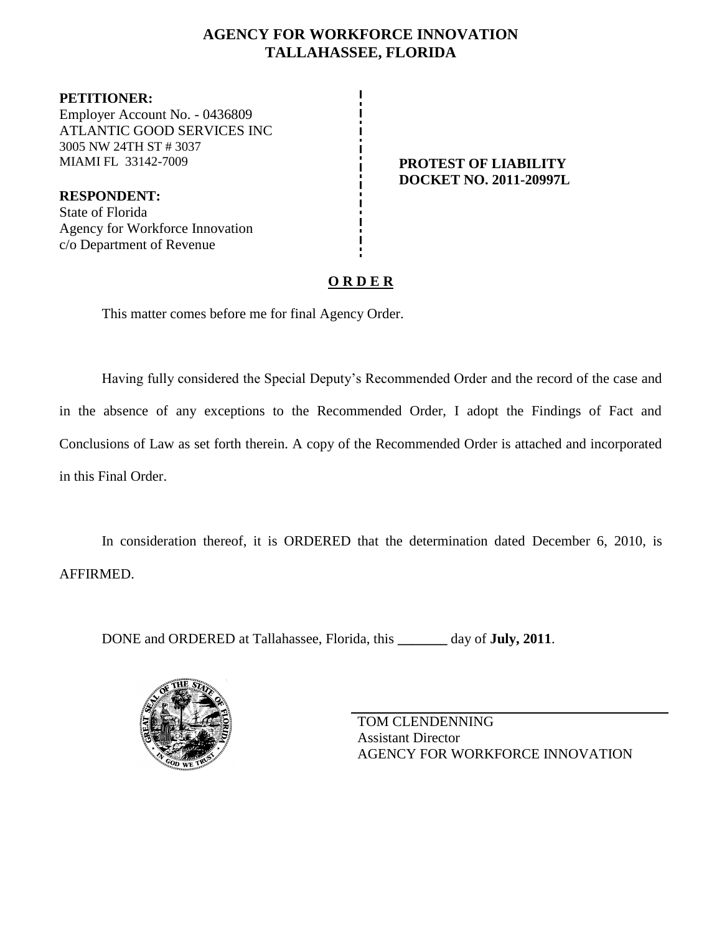### **AGENCY FOR WORKFORCE INNOVATION TALLAHASSEE, FLORIDA**

**PETITIONER:** Employer Account No. - 0436809 ATLANTIC GOOD SERVICES INC 3005 NW 24TH ST # 3037 MIAMI FL 33142-7009 **PROTEST OF LIABILITY**

**RESPONDENT:** State of Florida Agency for Workforce Innovation c/o Department of Revenue

# **DOCKET NO. 2011-20997L**

## **O R D E R**

This matter comes before me for final Agency Order.

Having fully considered the Special Deputy's Recommended Order and the record of the case and in the absence of any exceptions to the Recommended Order, I adopt the Findings of Fact and Conclusions of Law as set forth therein. A copy of the Recommended Order is attached and incorporated in this Final Order.

In consideration thereof, it is ORDERED that the determination dated December 6, 2010, is AFFIRMED.

DONE and ORDERED at Tallahassee, Florida, this **\_\_\_\_\_\_\_** day of **July, 2011**.



TOM CLENDENNING Assistant Director AGENCY FOR WORKFORCE INNOVATION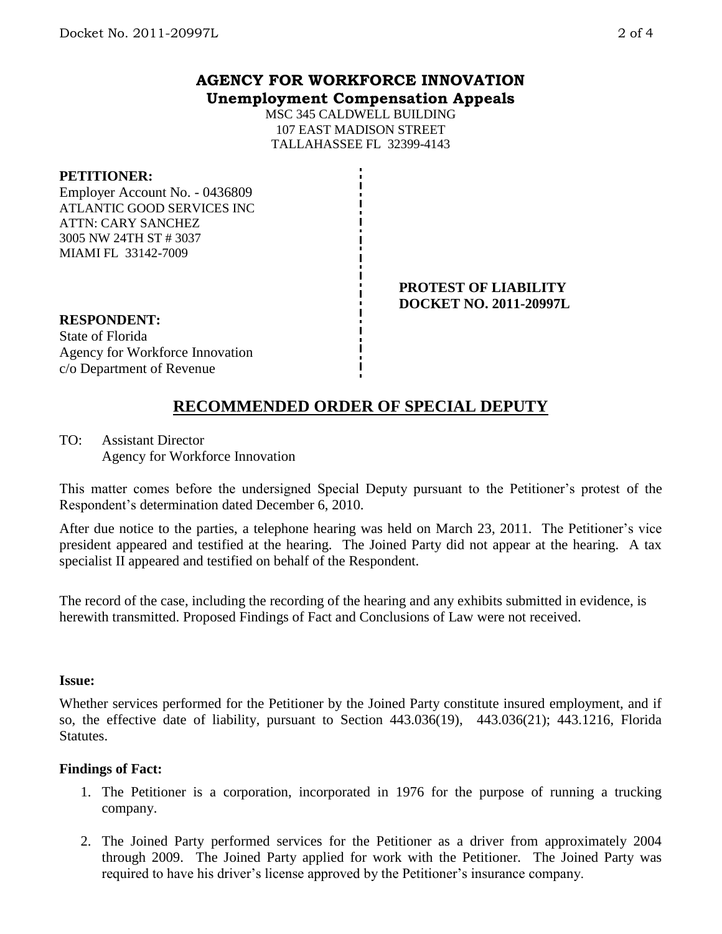### **AGENCY FOR WORKFORCE INNOVATION Unemployment Compensation Appeals**

MSC 345 CALDWELL BUILDING 107 EAST MADISON STREET TALLAHASSEE FL 32399-4143

### **PETITIONER:**

Employer Account No. - 0436809 ATLANTIC GOOD SERVICES INC ATTN: CARY SANCHEZ 3005 NW 24TH ST # 3037 MIAMI FL 33142-7009

#### **PROTEST OF LIABILITY DOCKET NO. 2011-20997L**

# **RESPONDENT:** State of Florida

Agency for Workforce Innovation c/o Department of Revenue

# **RECOMMENDED ORDER OF SPECIAL DEPUTY**

TO: Assistant Director Agency for Workforce Innovation

This matter comes before the undersigned Special Deputy pursuant to the Petitioner's protest of the Respondent's determination dated December 6, 2010.

After due notice to the parties, a telephone hearing was held on March 23, 2011. The Petitioner's vice president appeared and testified at the hearing. The Joined Party did not appear at the hearing. A tax specialist II appeared and testified on behalf of the Respondent.

The record of the case, including the recording of the hearing and any exhibits submitted in evidence, is herewith transmitted. Proposed Findings of Fact and Conclusions of Law were not received.

### **Issue:**

Whether services performed for the Petitioner by the Joined Party constitute insured employment, and if so, the effective date of liability, pursuant to Section 443.036(19), 443.036(21); 443.1216, Florida **Statutes.** 

### **Findings of Fact:**

- 1. The Petitioner is a corporation, incorporated in 1976 for the purpose of running a trucking company.
- 2. The Joined Party performed services for the Petitioner as a driver from approximately 2004 through 2009. The Joined Party applied for work with the Petitioner. The Joined Party was required to have his driver's license approved by the Petitioner's insurance company.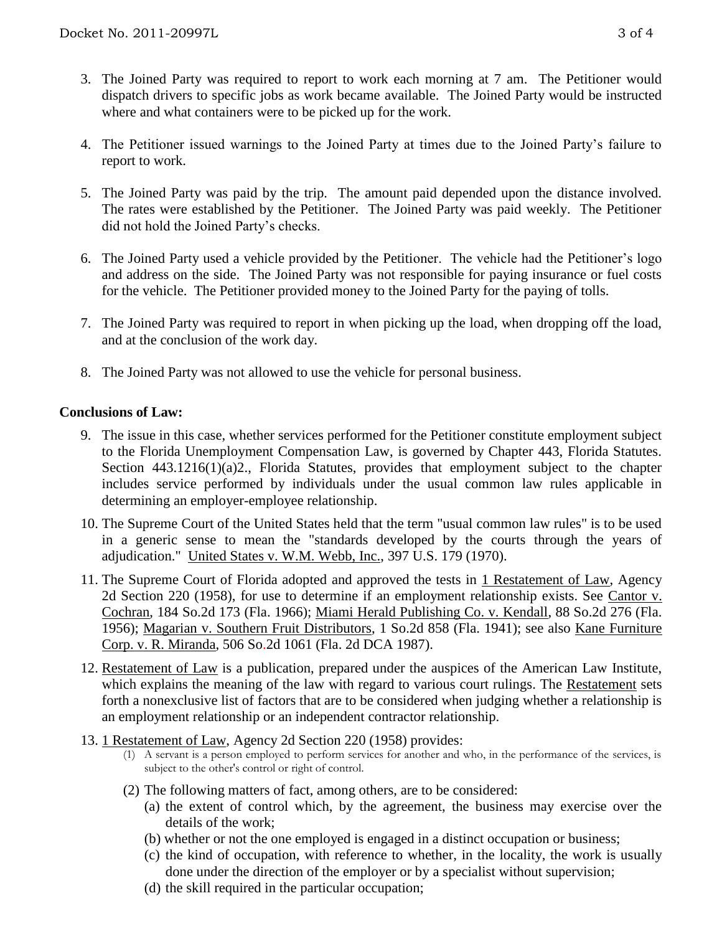- 3. The Joined Party was required to report to work each morning at 7 am. The Petitioner would dispatch drivers to specific jobs as work became available. The Joined Party would be instructed where and what containers were to be picked up for the work.
- 4. The Petitioner issued warnings to the Joined Party at times due to the Joined Party's failure to report to work.
- 5. The Joined Party was paid by the trip. The amount paid depended upon the distance involved. The rates were established by the Petitioner. The Joined Party was paid weekly. The Petitioner did not hold the Joined Party's checks.
- 6. The Joined Party used a vehicle provided by the Petitioner. The vehicle had the Petitioner's logo and address on the side. The Joined Party was not responsible for paying insurance or fuel costs for the vehicle. The Petitioner provided money to the Joined Party for the paying of tolls.
- 7. The Joined Party was required to report in when picking up the load, when dropping off the load, and at the conclusion of the work day.
- 8. The Joined Party was not allowed to use the vehicle for personal business.

### **Conclusions of Law:**

- 9. The issue in this case, whether services performed for the Petitioner constitute employment subject to the Florida Unemployment Compensation Law, is governed by Chapter 443, Florida Statutes. Section 443.1216(1)(a)2., Florida Statutes, provides that employment subject to the chapter includes service performed by individuals under the usual common law rules applicable in determining an employer-employee relationship.
- 10. The Supreme Court of the United States held that the term "usual common law rules" is to be used in a generic sense to mean the "standards developed by the courts through the years of adjudication." United States v. W.M. Webb, Inc., 397 U.S. 179 (1970).
- 11. The Supreme Court of Florida adopted and approved the tests in 1 Restatement of Law, Agency 2d Section 220 (1958), for use to determine if an employment relationship exists. See Cantor v. Cochran, 184 So.2d 173 (Fla. 1966); Miami Herald Publishing Co. v. Kendall, 88 So.2d 276 (Fla. 1956); Magarian v. Southern Fruit Distributors, 1 So.2d 858 (Fla. 1941); see also Kane Furniture Corp. v. R. Miranda, 506 So.2d 1061 (Fla. 2d DCA 1987).
- 12. Restatement of Law is a publication, prepared under the auspices of the American Law Institute, which explains the meaning of the law with regard to various court rulings. The Restatement sets forth a nonexclusive list of factors that are to be considered when judging whether a relationship is an employment relationship or an independent contractor relationship.
- 13. 1 Restatement of Law, Agency 2d Section 220 (1958) provides:
	- (1) A servant is a person employed to perform services for another and who, in the performance of the services, is subject to the other's control or right of control.
	- (2) The following matters of fact, among others, are to be considered:
		- (a) the extent of control which, by the agreement, the business may exercise over the details of the work;
		- (b) whether or not the one employed is engaged in a distinct occupation or business;
		- (c) the kind of occupation, with reference to whether, in the locality, the work is usually done under the direction of the employer or by a specialist without supervision;
		- (d) the skill required in the particular occupation;